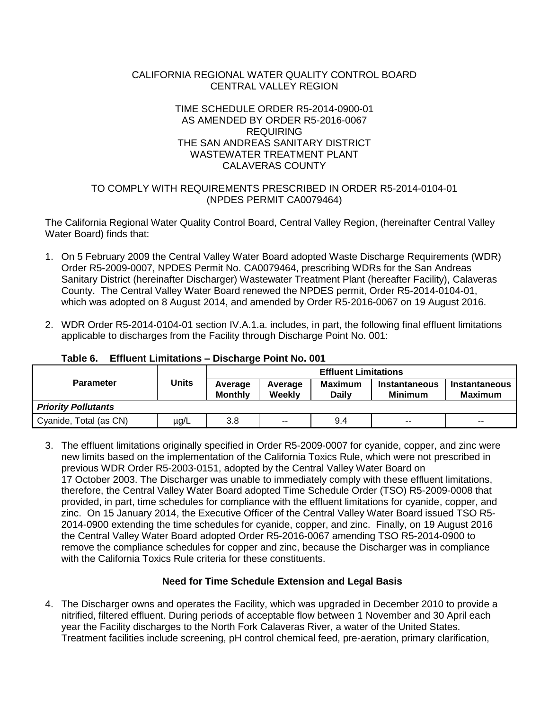# CALIFORNIA REGIONAL WATER QUALITY CONTROL BOARD CENTRAL VALLEY REGION

#### TIME SCHEDULE ORDER R5-2014-0900-01 AS AMENDED BY ORDER R5-2016-0067 REQUIRING THE SAN ANDREAS SANITARY DISTRICT WASTEWATER TREATMENT PLANT CALAVERAS COUNTY

# TO COMPLY WITH REQUIREMENTS PRESCRIBED IN ORDER R5-2014-0104-01 (NPDES PERMIT CA0079464)

The California Regional Water Quality Control Board, Central Valley Region, (hereinafter Central Valley Water Board) finds that:

- 1. On 5 February 2009 the Central Valley Water Board adopted Waste Discharge Requirements (WDR) Order R5-2009-0007, NPDES Permit No. CA0079464, prescribing WDRs for the San Andreas Sanitary District (hereinafter Discharger) Wastewater Treatment Plant (hereafter Facility), Calaveras County. The Central Valley Water Board renewed the NPDES permit, Order R5-2014-0104-01, which was adopted on 8 August 2014, and amended by Order R5-2016-0067 on 19 August 2016.
- 2. WDR Order R5-2014-0104-01 section IV.A.1.a. includes, in part, the following final effluent limitations applicable to discharges from the Facility through Discharge Point No. 001:

|                            | <b>Units</b> | <b>Effluent Limitations</b> |                   |                         |                                        |                                        |  |
|----------------------------|--------------|-----------------------------|-------------------|-------------------------|----------------------------------------|----------------------------------------|--|
| <b>Parameter</b>           |              | Average<br><b>Monthly</b>   | Average<br>Weekly | Maximum<br><b>Daily</b> | <b>Instantaneous</b><br><b>Minimum</b> | <b>Instantaneous</b><br><b>Maximum</b> |  |
| <b>Priority Pollutants</b> |              |                             |                   |                         |                                        |                                        |  |
| Cyanide, Total (as CN)     | $\mu$ g/L    | 3.8                         | $-$               | 9.4                     | $-$                                    | $-$                                    |  |

# **Table 6. Effluent Limitations – Discharge Point No. 001**

3. The effluent limitations originally specified in Order R5-2009-0007 for cyanide, copper, and zinc were new limits based on the implementation of the California Toxics Rule, which were not prescribed in previous WDR Order R5-2003-0151, adopted by the Central Valley Water Board on 17 October 2003. The Discharger was unable to immediately comply with these effluent limitations, therefore, the Central Valley Water Board adopted Time Schedule Order (TSO) R5-2009-0008 that provided, in part, time schedules for compliance with the effluent limitations for cyanide, copper, and zinc. On 15 January 2014, the Executive Officer of the Central Valley Water Board issued TSO R5- 2014-0900 extending the time schedules for cyanide, copper, and zinc. Finally, on 19 August 2016 the Central Valley Water Board adopted Order R5-2016-0067 amending TSO R5-2014-0900 to remove the compliance schedules for copper and zinc, because the Discharger was in compliance with the California Toxics Rule criteria for these constituents.

# **Need for Time Schedule Extension and Legal Basis**

4. The Discharger owns and operates the Facility, which was upgraded in December 2010 to provide a nitrified, filtered effluent. During periods of acceptable flow between 1 November and 30 April each year the Facility discharges to the North Fork Calaveras River, a water of the United States. Treatment facilities include screening, pH control chemical feed, pre-aeration, primary clarification,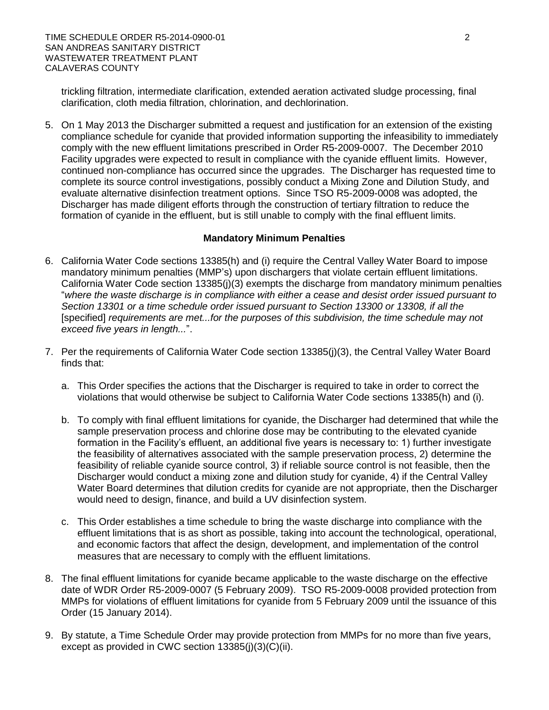trickling filtration, intermediate clarification, extended aeration activated sludge processing, final clarification, cloth media filtration, chlorination, and dechlorination.

5. On 1 May 2013 the Discharger submitted a request and justification for an extension of the existing compliance schedule for cyanide that provided information supporting the infeasibility to immediately comply with the new effluent limitations prescribed in Order R5-2009-0007. The December 2010 Facility upgrades were expected to result in compliance with the cyanide effluent limits. However, continued non-compliance has occurred since the upgrades. The Discharger has requested time to complete its source control investigations, possibly conduct a Mixing Zone and Dilution Study, and evaluate alternative disinfection treatment options. Since TSO R5-2009-0008 was adopted, the Discharger has made diligent efforts through the construction of tertiary filtration to reduce the formation of cyanide in the effluent, but is still unable to comply with the final effluent limits.

#### **Mandatory Minimum Penalties**

- 6. California Water Code sections 13385(h) and (i) require the Central Valley Water Board to impose mandatory minimum penalties (MMP's) upon dischargers that violate certain effluent limitations. California Water Code section 13385(j)(3) exempts the discharge from mandatory minimum penalties "*where the waste discharge is in compliance with either a cease and desist order issued pursuant to Section 13301 or a time schedule order issued pursuant to Section 13300 or 13308, if all the*  [specified] *requirements are met...for the purposes of this subdivision, the time schedule may not exceed five years in length...*".
- 7. Per the requirements of California Water Code section 13385(j)(3), the Central Valley Water Board finds that:
	- a. This Order specifies the actions that the Discharger is required to take in order to correct the violations that would otherwise be subject to California Water Code sections 13385(h) and (i).
	- b. To comply with final effluent limitations for cyanide, the Discharger had determined that while the sample preservation process and chlorine dose may be contributing to the elevated cyanide formation in the Facility's effluent, an additional five years is necessary to: 1) further investigate the feasibility of alternatives associated with the sample preservation process, 2) determine the feasibility of reliable cyanide source control, 3) if reliable source control is not feasible, then the Discharger would conduct a mixing zone and dilution study for cyanide, 4) if the Central Valley Water Board determines that dilution credits for cyanide are not appropriate, then the Discharger would need to design, finance, and build a UV disinfection system.
	- c. This Order establishes a time schedule to bring the waste discharge into compliance with the effluent limitations that is as short as possible, taking into account the technological, operational, and economic factors that affect the design, development, and implementation of the control measures that are necessary to comply with the effluent limitations.
- 8. The final effluent limitations for cyanide became applicable to the waste discharge on the effective date of WDR Order R5-2009-0007 (5 February 2009). TSO R5-2009-0008 provided protection from MMPs for violations of effluent limitations for cyanide from 5 February 2009 until the issuance of this Order (15 January 2014).
- 9. By statute, a Time Schedule Order may provide protection from MMPs for no more than five years, except as provided in CWC section 13385(j)(3)(C)(ii).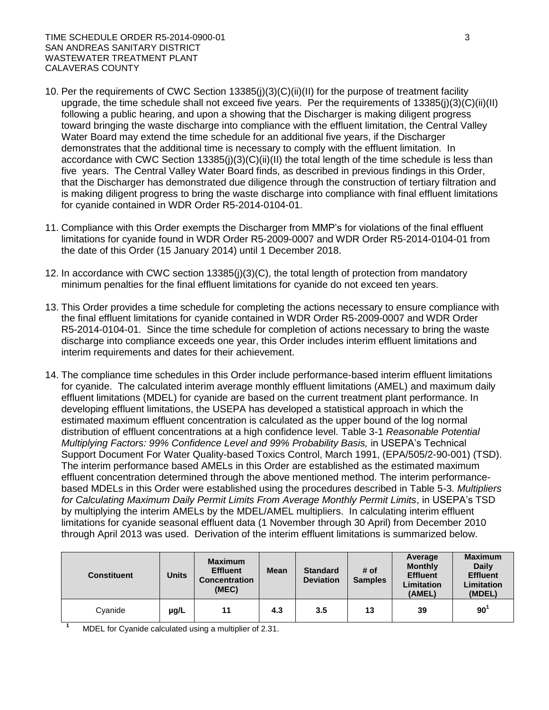- 10. Per the requirements of CWC Section 13385(j)(3)(C)(ii)(II) for the purpose of treatment facility upgrade, the time schedule shall not exceed five years. Per the requirements of 13385(j)(3)(C)(ii)(II) following a public hearing, and upon a showing that the Discharger is making diligent progress toward bringing the waste discharge into compliance with the effluent limitation, the Central Valley Water Board may extend the time schedule for an additional five years, if the Discharger demonstrates that the additional time is necessary to comply with the effluent limitation. In accordance with CWC Section 13385(j)(3)(C)(ii)(II) the total length of the time schedule is less than five years. The Central Valley Water Board finds, as described in previous findings in this Order, that the Discharger has demonstrated due diligence through the construction of tertiary filtration and is making diligent progress to bring the waste discharge into compliance with final effluent limitations for cyanide contained in WDR Order R5-2014-0104-01.
- 11. Compliance with this Order exempts the Discharger from MMP's for violations of the final effluent limitations for cyanide found in WDR Order R5-2009-0007 and WDR Order R5-2014-0104-01 from the date of this Order (15 January 2014) until 1 December 2018.
- 12. In accordance with CWC section 13385(j)(3)(C), the total length of protection from mandatory minimum penalties for the final effluent limitations for cyanide do not exceed ten years.
- 13. This Order provides a time schedule for completing the actions necessary to ensure compliance with the final effluent limitations for cyanide contained in WDR Order R5-2009-0007 and WDR Order R5-2014-0104-01. Since the time schedule for completion of actions necessary to bring the waste discharge into compliance exceeds one year, this Order includes interim effluent limitations and interim requirements and dates for their achievement.
- 14. The compliance time schedules in this Order include performance-based interim effluent limitations for cyanide. The calculated interim average monthly effluent limitations (AMEL) and maximum daily effluent limitations (MDEL) for cyanide are based on the current treatment plant performance. In developing effluent limitations, the USEPA has developed a statistical approach in which the estimated maximum effluent concentration is calculated as the upper bound of the log normal distribution of effluent concentrations at a high confidence level. Table 3-1 *Reasonable Potential Multiplying Factors: 99% Confidence Level and 99% Probability Basis,* in USEPA's Technical Support Document For Water Quality-based Toxics Control, March 1991, (EPA/505/2-90-001) (TSD). The interim performance based AMELs in this Order are established as the estimated maximum effluent concentration determined through the above mentioned method. The interim performancebased MDELs in this Order were established using the procedures described in Table 5-3. *Multipliers for Calculating Maximum Daily Permit Limits From Average Monthly Permit Limits*, in USEPA's TSD by multiplying the interim AMELs by the MDEL/AMEL multipliers. In calculating interim effluent limitations for cyanide seasonal effluent data (1 November through 30 April) from December 2010 through April 2013 was used. Derivation of the interim effluent limitations is summarized below.

| <b>Constituent</b>               | <b>Units</b> | <b>Maximum</b><br><b>Effluent</b><br><b>Concentration</b><br>(MEC) | <b>Mean</b> | <b>Standard</b><br><b>Deviation</b> | # of<br><b>Samples</b> | Average<br><b>Monthly</b><br><b>Effluent</b><br><b>Limitation</b><br>(AMEL) | <b>Maximum</b><br><b>Daily</b><br><b>Effluent</b><br>Limitation<br>(MDEL) |
|----------------------------------|--------------|--------------------------------------------------------------------|-------------|-------------------------------------|------------------------|-----------------------------------------------------------------------------|---------------------------------------------------------------------------|
| Cyanide                          | µg/L         | 11                                                                 | 4.3         | 3.5                                 | 13                     | 39                                                                          | 90 <sup>1</sup>                                                           |
| .<br>$\sim$ $\sim$ $\sim$ $\sim$ |              |                                                                    |             |                                     |                        |                                                                             |                                                                           |

MDEL for Cyanide calculated using a multiplier of 2.31.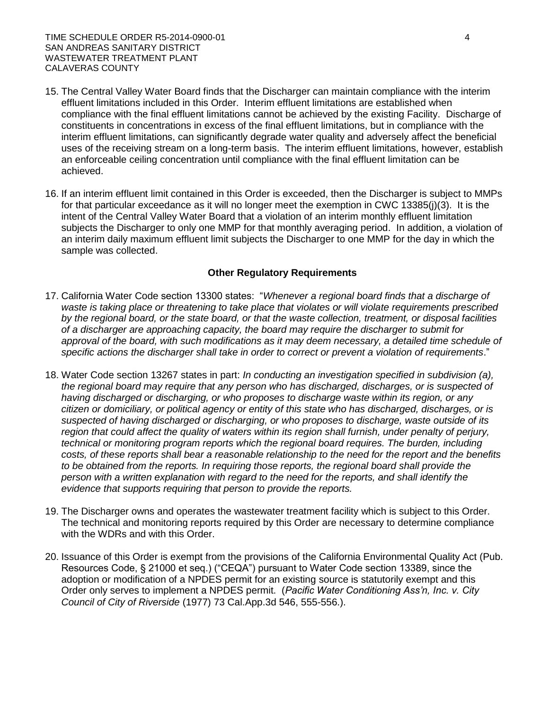TIME SCHEDULE ORDER R5-2014-0900-01 4 SAN ANDREAS SANITARY DISTRICT WASTEWATER TREATMENT PLANT CALAVERAS COUNTY

- 15. The Central Valley Water Board finds that the Discharger can maintain compliance with the interim effluent limitations included in this Order. Interim effluent limitations are established when compliance with the final effluent limitations cannot be achieved by the existing Facility. Discharge of constituents in concentrations in excess of the final effluent limitations, but in compliance with the interim effluent limitations, can significantly degrade water quality and adversely affect the beneficial uses of the receiving stream on a long-term basis. The interim effluent limitations, however, establish an enforceable ceiling concentration until compliance with the final effluent limitation can be achieved.
- 16. If an interim effluent limit contained in this Order is exceeded, then the Discharger is subject to MMPs for that particular exceedance as it will no longer meet the exemption in CWC 13385(j)(3). It is the intent of the Central Valley Water Board that a violation of an interim monthly effluent limitation subjects the Discharger to only one MMP for that monthly averaging period. In addition, a violation of an interim daily maximum effluent limit subjects the Discharger to one MMP for the day in which the sample was collected.

#### **Other Regulatory Requirements**

- 17. California Water Code section 13300 states: "*Whenever a regional board finds that a discharge of waste is taking place or threatening to take place that violates or will violate requirements prescribed by the regional board, or the state board, or that the waste collection, treatment, or disposal facilities of a discharger are approaching capacity, the board may require the discharger to submit for*  approval of the board, with such modifications as it may deem necessary, a detailed time schedule of *specific actions the discharger shall take in order to correct or prevent a violation of requirements*."
- 18. Water Code section 13267 states in part: *In conducting an investigation specified in subdivision (a), the regional board may require that any person who has discharged, discharges, or is suspected of having discharged or discharging, or who proposes to discharge waste within its region, or any citizen or domiciliary, or political agency or entity of this state who has discharged, discharges, or is suspected of having discharged or discharging, or who proposes to discharge, waste outside of its region that could affect the quality of waters within its region shall furnish, under penalty of perjury, technical or monitoring program reports which the regional board requires. The burden, including costs, of these reports shall bear a reasonable relationship to the need for the report and the benefits*  to be obtained from the reports. In requiring those reports, the regional board shall provide the *person with a written explanation with regard to the need for the reports, and shall identify the evidence that supports requiring that person to provide the reports.*
- 19. The Discharger owns and operates the wastewater treatment facility which is subject to this Order. The technical and monitoring reports required by this Order are necessary to determine compliance with the WDRs and with this Order.
- 20. Issuance of this Order is exempt from the provisions of the California Environmental Quality Act (Pub. Resources Code, § 21000 et seq.) ("CEQA") pursuant to Water Code section 13389, since the adoption or modification of a NPDES permit for an existing source is statutorily exempt and this Order only serves to implement a NPDES permit. (*Pacific Water Conditioning Ass'n, Inc. v. City Council of City of Riverside* (1977) 73 Cal.App.3d 546, 555-556.).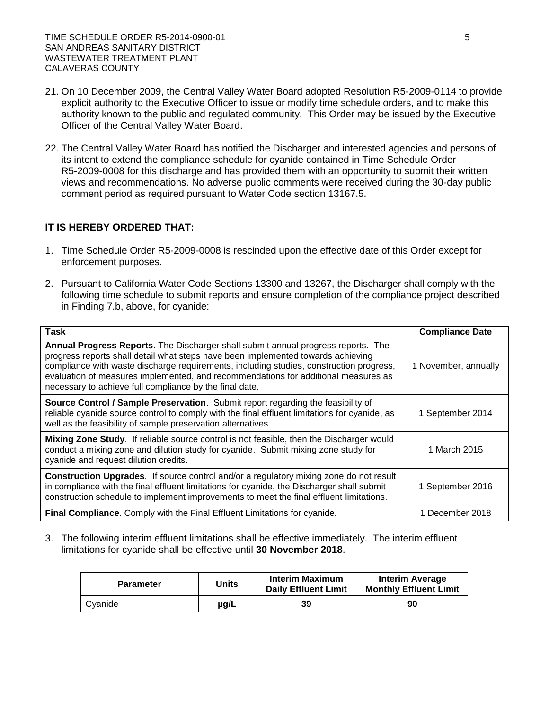- 21. On 10 December 2009, the Central Valley Water Board adopted Resolution R5-2009-0114 to provide explicit authority to the Executive Officer to issue or modify time schedule orders, and to make this authority known to the public and regulated community. This Order may be issued by the Executive Officer of the Central Valley Water Board.
- 22. The Central Valley Water Board has notified the Discharger and interested agencies and persons of its intent to extend the compliance schedule for cyanide contained in Time Schedule Order R5-2009-0008 for this discharge and has provided them with an opportunity to submit their written views and recommendations. No adverse public comments were received during the 30-day public comment period as required pursuant to Water Code section 13167.5.

# **IT IS HEREBY ORDERED THAT:**

- 1. Time Schedule Order R5-2009-0008 is rescinded upon the effective date of this Order except for enforcement purposes.
- 2. Pursuant to California Water Code Sections 13300 and 13267, the Discharger shall comply with the following time schedule to submit reports and ensure completion of the compliance project described in Finding 7.b, above, for cyanide:

| <b>Task</b>                                                                                                                                                                                                                                                                                                                                                                                                       | <b>Compliance Date</b> |
|-------------------------------------------------------------------------------------------------------------------------------------------------------------------------------------------------------------------------------------------------------------------------------------------------------------------------------------------------------------------------------------------------------------------|------------------------|
| Annual Progress Reports. The Discharger shall submit annual progress reports. The<br>progress reports shall detail what steps have been implemented towards achieving<br>compliance with waste discharge requirements, including studies, construction progress,<br>evaluation of measures implemented, and recommendations for additional measures as<br>necessary to achieve full compliance by the final date. | 1 November, annually   |
| <b>Source Control / Sample Preservation.</b> Submit report regarding the feasibility of<br>reliable cyanide source control to comply with the final effluent limitations for cyanide, as<br>well as the feasibility of sample preservation alternatives.                                                                                                                                                          | 1 September 2014       |
| Mixing Zone Study. If reliable source control is not feasible, then the Discharger would<br>conduct a mixing zone and dilution study for cyanide. Submit mixing zone study for<br>cyanide and request dilution credits.                                                                                                                                                                                           | 1 March 2015           |
| <b>Construction Upgrades.</b> If source control and/or a regulatory mixing zone do not result<br>in compliance with the final effluent limitations for cyanide, the Discharger shall submit<br>construction schedule to implement improvements to meet the final effluent limitations.                                                                                                                            | 1 September 2016       |
| Final Compliance. Comply with the Final Effluent Limitations for cyanide.                                                                                                                                                                                                                                                                                                                                         | 1 December 2018        |

3. The following interim effluent limitations shall be effective immediately. The interim effluent limitations for cyanide shall be effective until **30 November 2018**.

| <b>Parameter</b> | Units | <b>Interim Maximum</b><br><b>Daily Effluent Limit</b> | <b>Interim Average</b><br><b>Monthly Effluent Limit</b> |  |
|------------------|-------|-------------------------------------------------------|---------------------------------------------------------|--|
| Cyanide          | µg/L  | 39                                                    | 90                                                      |  |